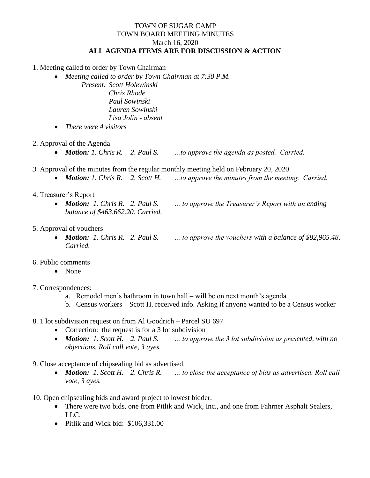## TOWN OF SUGAR CAMP TOWN BOARD MEETING MINUTES March 16, 2020 **ALL AGENDA ITEMS ARE FOR DISCUSSION & ACTION**

1. Meeting called to order by Town Chairman

*Meeting called to order by Town Chairman at 7:30 P.M.*

*Present: Scott Holewinski Chris Rhode Paul Sowinski Lauren Sowinski Lisa Jolin - absent*

- *There were 4 visitors*
- 2. Approval of the Agenda
	- *Motion: 1. Chris R. 2. Paul S. …to approve the agenda as posted. Carried.*
- *3.* Approval of the minutes from the regular monthly meeting held on February 20, 2020
	- *Motion: 1. Chris R. 2. Scott H. …to approve the minutes from the meeting. Carried.*
- 4. Treasurer's Report
	- *Motion: 1. Chris R. 2. Paul S. … to approve the Treasurer's Report with an ending balance of \$463,662.20. Carried.*
- 5. Approval of vouchers
	- *Carried.*

*Motion: 1. Chris R. 2. Paul S. … to approve the vouchers with a balance of \$82,965.48.* 

- 6. Public comments
	- None
- 7. Correspondences:
	- a. Remodel men's bathroom in town hall will be on next month's agenda
	- b. Census workers Scott H. received info. Asking if anyone wanted to be a Census worker
- 8. 1 lot subdivision request on from Al Goodrich Parcel SU 697
	- Correction: the request is for a 3 lot subdivision
	- *Motion: 1. Scott H. 2. Paul S. … to approve the 3 lot subdivision as presented, with no objections. Roll call vote, 3 ayes.*
- 9. Close acceptance of chipsealing bid as advertised.
	- *Motion: 1. Scott H. 2. Chris R. … to close the acceptance of bids as advertised. Roll call vote, 3 ayes.*

10. Open chipsealing bids and award project to lowest bidder.

- There were two bids, one from Pitlik and Wick, Inc., and one from Fahrner Asphalt Sealers, LLC.
- Pitlik and Wick bid: \$106,331.00